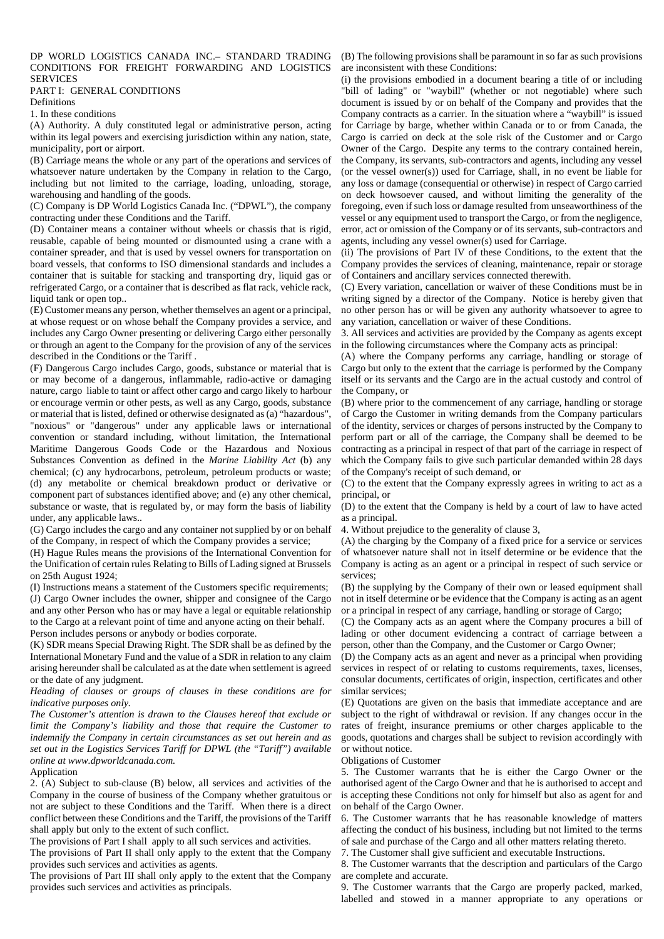## DP WORLD LOGISTICS CANADA INC.– STANDARD TRADING (B) The following provisions shall be paramount in so far as such provisions CONDITIONS FOR FREIGHT FORWARDING AND LOGISTICS **SERVICES**

# PART I: GENERAL CONDITIONS

Definitions

1. In these conditions

(A) Authority. A duly constituted legal or administrative person, acting within its legal powers and exercising jurisdiction within any nation, state, municipality, port or airport.

(B) Carriage means the whole or any part of the operations and services of whatsoever nature undertaken by the Company in relation to the Cargo, including but not limited to the carriage, loading, unloading, storage, warehousing and handling of the goods.

(C) Company is DP World Logistics Canada Inc. ("DPWL"), the company contracting under these Conditions and the Tariff.

(D) Container means a container without wheels or chassis that is rigid, reusable, capable of being mounted or dismounted using a crane with a container spreader, and that is used by vessel owners for transportation on board vessels, that conforms to ISO dimensional standards and includes a container that is suitable for stacking and transporting dry, liquid gas or refrigerated Cargo, or a container that is described as flat rack, vehicle rack, liquid tank or open top..

(E) Customer means any person, whether themselves an agent or a principal, at whose request or on whose behalf the Company provides a service, and includes any Cargo Owner presenting or delivering Cargo either personally or through an agent to the Company for the provision of any of the services described in the Conditions or the Tariff .

(F) Dangerous Cargo includes Cargo, goods, substance or material that is or may become of a dangerous, inflammable, radio-active or damaging nature, cargo liable to taint or affect other cargo and cargo likely to harbour or encourage vermin or other pests, as well as any Cargo, goods, substance or material that is listed, defined or otherwise designated as (a) "hazardous", "noxious" or "dangerous" under any applicable laws or international convention or standard including, without limitation, the International Maritime Dangerous Goods Code or the Hazardous and Noxious Substances Convention as defined in the *Marine Liability Act* (b) any chemical; (c) any hydrocarbons, petroleum, petroleum products or waste; (d) any metabolite or chemical breakdown product or derivative or component part of substances identified above; and (e) any other chemical, substance or waste, that is regulated by, or may form the basis of liability under, any applicable laws..

(G) Cargo includes the cargo and any container not supplied by or on behalf of the Company, in respect of which the Company provides a service;

(H) Hague Rules means the provisions of the International Convention for the Unification of certain rules Relating to Bills of Lading signed at Brussels on 25th August 1924;

(I) Instructions means a statement of the Customers specific requirements; (J) Cargo Owner includes the owner, shipper and consignee of the Cargo and any other Person who has or may have a legal or equitable relationship to the Cargo at a relevant point of time and anyone acting on their behalf. Person includes persons or anybody or bodies corporate.

(K) SDR means Special Drawing Right. The SDR shall be as defined by the International Monetary Fund and the value of a SDR in relation to any claim arising hereunder shall be calculated as at the date when settlement is agreed or the date of any judgment.

## *Heading of clauses or groups of clauses in these conditions are for indicative purposes only.*

*The Customer's attention is drawn to the Clauses hereof that exclude or limit the Company's liability and those that require the Customer to indemnify the Company in certain circumstances as set out herein and as set out in the Logistics Services Tariff for DPWL (the "Tariff") available online at www.dpworldcanada.com.*

# Application

2. (A) Subject to sub-clause (B) below, all services and activities of the Company in the course of business of the Company whether gratuitous or not are subject to these Conditions and the Tariff. When there is a direct conflict between these Conditions and the Tariff, the provisions of the Tariff shall apply but only to the extent of such conflict.

The provisions of Part I shall apply to all such services and activities.

The provisions of Part II shall only apply to the extent that the Company provides such services and activities as agents.

The provisions of Part III shall only apply to the extent that the Company provides such services and activities as principals.

are inconsistent with these Conditions:

(i) the provisions embodied in a document bearing a title of or including "bill of lading" or "waybill" (whether or not negotiable) where such document is issued by or on behalf of the Company and provides that the Company contracts as a carrier. In the situation where a "waybill" is issued for Carriage by barge, whether within Canada or to or from Canada, the Cargo is carried on deck at the sole risk of the Customer and or Cargo Owner of the Cargo. Despite any terms to the contrary contained herein, the Company, its servants, sub-contractors and agents, including any vessel (or the vessel owner(s)) used for Carriage, shall, in no event be liable for any loss or damage (consequential or otherwise) in respect of Cargo carried on deck howsoever caused, and without limiting the generality of the foregoing, even if such loss or damage resulted from unseaworthiness of the vessel or any equipment used to transport the Cargo, or from the negligence, error, act or omission of the Company or of its servants, sub-contractors and agents, including any vessel owner(s) used for Carriage.

(ii) The provisions of Part IV of these Conditions, to the extent that the Company provides the services of cleaning, maintenance, repair or storage of Containers and ancillary services connected therewith.

(C) Every variation, cancellation or waiver of these Conditions must be in writing signed by a director of the Company. Notice is hereby given that no other person has or will be given any authority whatsoever to agree to any variation, cancellation or waiver of these Conditions.

3. All services and activities are provided by the Company as agents except in the following circumstances where the Company acts as principal:

(A) where the Company performs any carriage, handling or storage of Cargo but only to the extent that the carriage is performed by the Company itself or its servants and the Cargo are in the actual custody and control of the Company, or

(B) where prior to the commencement of any carriage, handling or storage of Cargo the Customer in writing demands from the Company particulars of the identity, services or charges of persons instructed by the Company to perform part or all of the carriage, the Company shall be deemed to be contracting as a principal in respect of that part of the carriage in respect of which the Company fails to give such particular demanded within 28 days of the Company's receipt of such demand, or

(C) to the extent that the Company expressly agrees in writing to act as a principal, or

(D) to the extent that the Company is held by a court of law to have acted as a principal.

4. Without prejudice to the generality of clause 3,

(A) the charging by the Company of a fixed price for a service or services of whatsoever nature shall not in itself determine or be evidence that the Company is acting as an agent or a principal in respect of such service or services;

(B) the supplying by the Company of their own or leased equipment shall not in itself determine or be evidence that the Company is acting as an agent or a principal in respect of any carriage, handling or storage of Cargo;

(C) the Company acts as an agent where the Company procures a bill of lading or other document evidencing a contract of carriage between a person, other than the Company, and the Customer or Cargo Owner;

(D) the Company acts as an agent and never as a principal when providing services in respect of or relating to customs requirements, taxes, licenses, consular documents, certificates of origin, inspection, certificates and other similar services;

(E) Quotations are given on the basis that immediate acceptance and are subject to the right of withdrawal or revision. If any changes occur in the rates of freight, insurance premiums or other charges applicable to the goods, quotations and charges shall be subject to revision accordingly with or without notice.

Obligations of Customer

5. The Customer warrants that he is either the Cargo Owner or the authorised agent of the Cargo Owner and that he is authorised to accept and is accepting these Conditions not only for himself but also as agent for and on behalf of the Cargo Owner.

6. The Customer warrants that he has reasonable knowledge of matters affecting the conduct of his business, including but not limited to the terms of sale and purchase of the Cargo and all other matters relating thereto.

7. The Customer shall give sufficient and executable Instructions.

8. The Customer warrants that the description and particulars of the Cargo are complete and accurate.

9. The Customer warrants that the Cargo are properly packed, marked, labelled and stowed in a manner appropriate to any operations or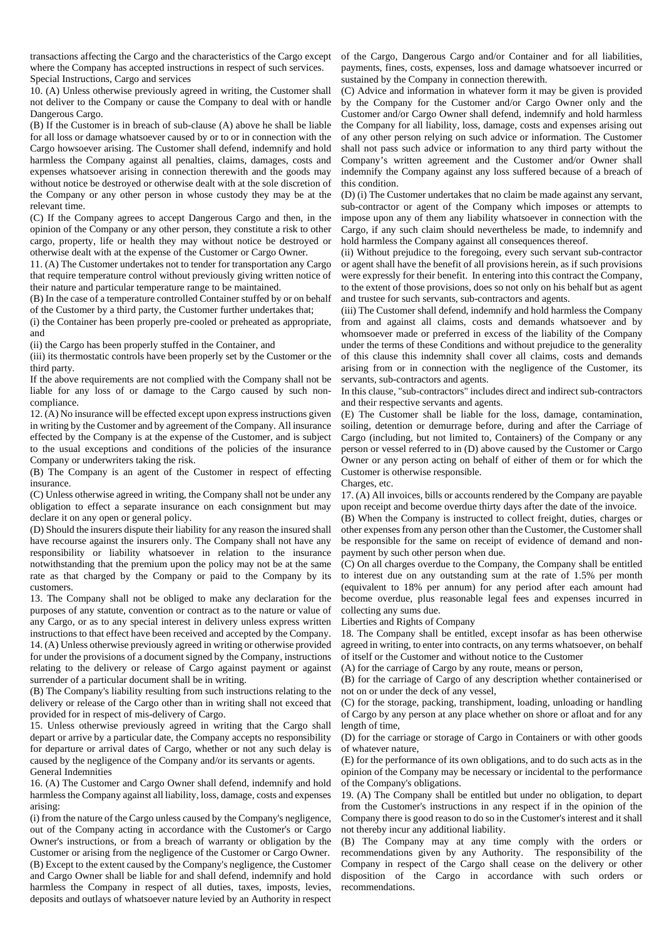transactions affecting the Cargo and the characteristics of the Cargo except where the Company has accepted instructions in respect of such services. Special Instructions, Cargo and services

10. (A) Unless otherwise previously agreed in writing, the Customer shall not deliver to the Company or cause the Company to deal with or handle Dangerous Cargo.

(B) If the Customer is in breach of sub-clause (A) above he shall be liable for all loss or damage whatsoever caused by or to or in connection with the Cargo howsoever arising. The Customer shall defend, indemnify and hold harmless the Company against all penalties, claims, damages, costs and expenses whatsoever arising in connection therewith and the goods may without notice be destroyed or otherwise dealt with at the sole discretion of the Company or any other person in whose custody they may be at the relevant time.

(C) If the Company agrees to accept Dangerous Cargo and then, in the opinion of the Company or any other person, they constitute a risk to other cargo, property, life or health they may without notice be destroyed or otherwise dealt with at the expense of the Customer or Cargo Owner.

11. (A) The Customer undertakes not to tender for transportation any Cargo that require temperature control without previously giving written notice of their nature and particular temperature range to be maintained.

(B) In the case of a temperature controlled Container stuffed by or on behalf of the Customer by a third party, the Customer further undertakes that;

(i) the Container has been properly pre-cooled or preheated as appropriate, and

(ii) the Cargo has been properly stuffed in the Container, and

(iii) its thermostatic controls have been properly set by the Customer or the third party.

If the above requirements are not complied with the Company shall not be liable for any loss of or damage to the Cargo caused by such noncompliance.

12. (A) No insurance will be effected except upon express instructions given in writing by the Customer and by agreement of the Company. All insurance effected by the Company is at the expense of the Customer, and is subject to the usual exceptions and conditions of the policies of the insurance Company or underwriters taking the risk.

(B) The Company is an agent of the Customer in respect of effecting insurance.

(C) Unless otherwise agreed in writing, the Company shall not be under any obligation to effect a separate insurance on each consignment but may declare it on any open or general policy.

(D) Should the insurers dispute their liability for any reason the insured shall have recourse against the insurers only. The Company shall not have any responsibility or liability whatsoever in relation to the insurance notwithstanding that the premium upon the policy may not be at the same rate as that charged by the Company or paid to the Company by its customers.

13. The Company shall not be obliged to make any declaration for the purposes of any statute, convention or contract as to the nature or value of any Cargo, or as to any special interest in delivery unless express written instructions to that effect have been received and accepted by the Company. 14. (A) Unless otherwise previously agreed in writing or otherwise provided for under the provisions of a document signed by the Company, instructions relating to the delivery or release of Cargo against payment or against surrender of a particular document shall be in writing.

(B) The Company's liability resulting from such instructions relating to the delivery or release of the Cargo other than in writing shall not exceed that provided for in respect of mis-delivery of Cargo.

15. Unless otherwise previously agreed in writing that the Cargo shall depart or arrive by a particular date, the Company accepts no responsibility for departure or arrival dates of Cargo, whether or not any such delay is caused by the negligence of the Company and/or its servants or agents. General Indemnities

16. (A) The Customer and Cargo Owner shall defend, indemnify and hold harmless the Company against all liability, loss, damage, costs and expenses arising:

(i) from the nature of the Cargo unless caused by the Company's negligence, out of the Company acting in accordance with the Customer's or Cargo Owner's instructions, or from a breach of warranty or obligation by the Customer or arising from the negligence of the Customer or Cargo Owner. (B) Except to the extent caused by the Company's negligence, the Customer and Cargo Owner shall be liable for and shall defend, indemnify and hold harmless the Company in respect of all duties, taxes, imposts, levies, deposits and outlays of whatsoever nature levied by an Authority in respect

of the Cargo, Dangerous Cargo and/or Container and for all liabilities, payments, fines, costs, expenses, loss and damage whatsoever incurred or sustained by the Company in connection therewith.

(C) Advice and information in whatever form it may be given is provided by the Company for the Customer and/or Cargo Owner only and the Customer and/or Cargo Owner shall defend, indemnify and hold harmless the Company for all liability, loss, damage, costs and expenses arising out of any other person relying on such advice or information. The Customer shall not pass such advice or information to any third party without the Company's written agreement and the Customer and/or Owner shall indemnify the Company against any loss suffered because of a breach of this condition.

(D) (i) The Customer undertakes that no claim be made against any servant, sub-contractor or agent of the Company which imposes or attempts to impose upon any of them any liability whatsoever in connection with the Cargo, if any such claim should nevertheless be made, to indemnify and hold harmless the Company against all consequences thereof.

(ii) Without prejudice to the foregoing, every such servant sub-contractor or agent shall have the benefit of all provisions herein, as if such provisions were expressly for their benefit. In entering into this contract the Company, to the extent of those provisions, does so not only on his behalf but as agent and trustee for such servants, sub-contractors and agents.

(iii) The Customer shall defend, indemnify and hold harmless the Company from and against all claims, costs and demands whatsoever and by whomsoever made or preferred in excess of the liability of the Company under the terms of these Conditions and without prejudice to the generality of this clause this indemnity shall cover all claims, costs and demands arising from or in connection with the negligence of the Customer, its servants, sub-contractors and agents.

In this clause, "sub-contractors" includes direct and indirect sub-contractors and their respective servants and agents.

(E) The Customer shall be liable for the loss, damage, contamination, soiling, detention or demurrage before, during and after the Carriage of Cargo (including, but not limited to, Containers) of the Company or any person or vessel referred to in (D) above caused by the Customer or Cargo Owner or any person acting on behalf of either of them or for which the Customer is otherwise responsible. Charges, etc.

17. (A) All invoices, bills or accounts rendered by the Company are payable upon receipt and become overdue thirty days after the date of the invoice.

(B) When the Company is instructed to collect freight, duties, charges or other expenses from any person other than the Customer, the Customer shall be responsible for the same on receipt of evidence of demand and nonpayment by such other person when due.

(C) On all charges overdue to the Company, the Company shall be entitled to interest due on any outstanding sum at the rate of 1.5% per month (equivalent to 18% per annum) for any period after each amount had become overdue, plus reasonable legal fees and expenses incurred in collecting any sums due.

Liberties and Rights of Company

18. The Company shall be entitled, except insofar as has been otherwise agreed in writing, to enter into contracts, on any terms whatsoever, on behalf of itself or the Customer and without notice to the Customer

(A) for the carriage of Cargo by any route, means or person,

(B) for the carriage of Cargo of any description whether containerised or not on or under the deck of any vessel,

(C) for the storage, packing, transhipment, loading, unloading or handling of Cargo by any person at any place whether on shore or afloat and for any length of time,

(D) for the carriage or storage of Cargo in Containers or with other goods of whatever nature,

(E) for the performance of its own obligations, and to do such acts as in the opinion of the Company may be necessary or incidental to the performance of the Company's obligations.

19. (A) The Company shall be entitled but under no obligation, to depart from the Customer's instructions in any respect if in the opinion of the Company there is good reason to do so in the Customer's interest and it shall not thereby incur any additional liability.

(B) The Company may at any time comply with the orders or recommendations given by any Authority. The responsibility of the Company in respect of the Cargo shall cease on the delivery or other disposition of the Cargo in accordance with such orders or recommendations.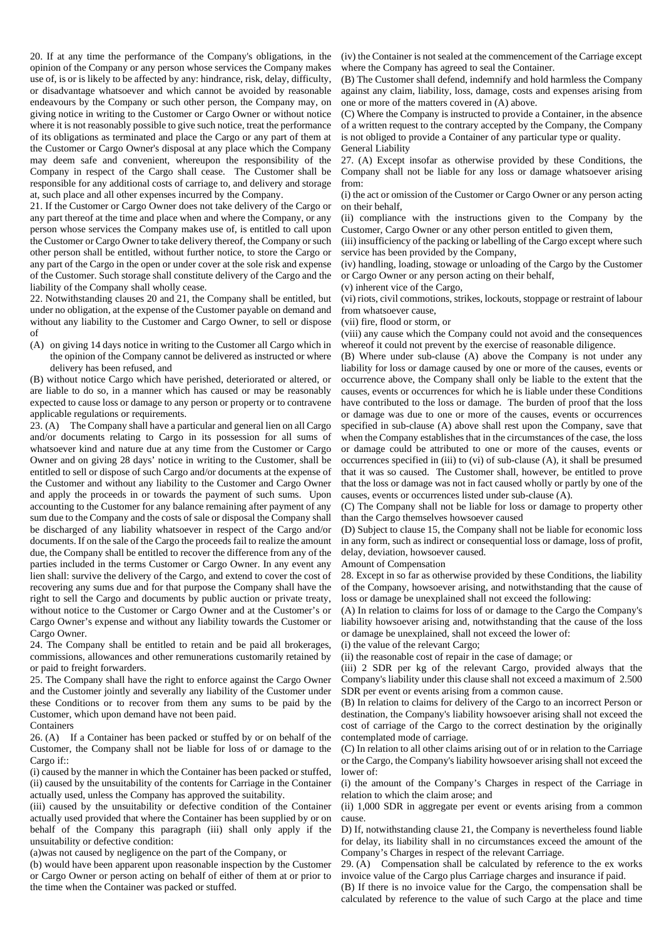20. If at any time the performance of the Company's obligations, in the opinion of the Company or any person whose services the Company makes use of, is or is likely to be affected by any: hindrance, risk, delay, difficulty, or disadvantage whatsoever and which cannot be avoided by reasonable endeavours by the Company or such other person, the Company may, on giving notice in writing to the Customer or Cargo Owner or without notice where it is not reasonably possible to give such notice, treat the performance of its obligations as terminated and place the Cargo or any part of them at the Customer or Cargo Owner's disposal at any place which the Company may deem safe and convenient, whereupon the responsibility of the Company in respect of the Cargo shall cease. The Customer shall be responsible for any additional costs of carriage to, and delivery and storage at, such place and all other expenses incurred by the Company.

21. If the Customer or Cargo Owner does not take delivery of the Cargo or any part thereof at the time and place when and where the Company, or any person whose services the Company makes use of, is entitled to call upon the Customer or Cargo Owner to take delivery thereof, the Company or such other person shall be entitled, without further notice, to store the Cargo or any part of the Cargo in the open or under cover at the sole risk and expense of the Customer. Such storage shall constitute delivery of the Cargo and the liability of the Company shall wholly cease.

22. Notwithstanding clauses 20 and 21, the Company shall be entitled, but under no obligation, at the expense of the Customer payable on demand and without any liability to the Customer and Cargo Owner, to sell or dispose of

(A) on giving 14 days notice in writing to the Customer all Cargo which in the opinion of the Company cannot be delivered as instructed or where delivery has been refused, and

(B) without notice Cargo which have perished, deteriorated or altered, or are liable to do so, in a manner which has caused or may be reasonably expected to cause loss or damage to any person or property or to contravene applicable regulations or requirements.

23. (A) The Company shall have a particular and general lien on all Cargo and/or documents relating to Cargo in its possession for all sums of whatsoever kind and nature due at any time from the Customer or Cargo Owner and on giving 28 days' notice in writing to the Customer, shall be entitled to sell or dispose of such Cargo and/or documents at the expense of the Customer and without any liability to the Customer and Cargo Owner and apply the proceeds in or towards the payment of such sums. Upon accounting to the Customer for any balance remaining after payment of any sum due to the Company and the costs of sale or disposal the Company shall be discharged of any liability whatsoever in respect of the Cargo and/or documents. If on the sale of the Cargo the proceeds fail to realize the amount due, the Company shall be entitled to recover the difference from any of the parties included in the terms Customer or Cargo Owner. In any event any lien shall: survive the delivery of the Cargo, and extend to cover the cost of recovering any sums due and for that purpose the Company shall have the right to sell the Cargo and documents by public auction or private treaty, without notice to the Customer or Cargo Owner and at the Customer's or Cargo Owner's expense and without any liability towards the Customer or Cargo Owner.

24. The Company shall be entitled to retain and be paid all brokerages, commissions, allowances and other remunerations customarily retained by or paid to freight forwarders.

25. The Company shall have the right to enforce against the Cargo Owner and the Customer jointly and severally any liability of the Customer under these Conditions or to recover from them any sums to be paid by the Customer, which upon demand have not been paid.

Containers

26. (A) If a Container has been packed or stuffed by or on behalf of the Customer, the Company shall not be liable for loss of or damage to the Cargo if::

(i) caused by the manner in which the Container has been packed or stuffed, (ii) caused by the unsuitability of the contents for Carriage in the Container actually used, unless the Company has approved the suitability.

(iii) caused by the unsuitability or defective condition of the Container actually used provided that where the Container has been supplied by or on behalf of the Company this paragraph (iii) shall only apply if the unsuitability or defective condition:

(a)was not caused by negligence on the part of the Company, or

(b) would have been apparent upon reasonable inspection by the Customer or Cargo Owner or person acting on behalf of either of them at or prior to the time when the Container was packed or stuffed.

(iv) the Container is not sealed at the commencement of the Carriage except where the Company has agreed to seal the Container.

(B) The Customer shall defend, indemnify and hold harmless the Company against any claim, liability, loss, damage, costs and expenses arising from one or more of the matters covered in (A) above.

(C) Where the Company is instructed to provide a Container, in the absence of a written request to the contrary accepted by the Company, the Company is not obliged to provide a Container of any particular type or quality. General Liability

27. (A) Except insofar as otherwise provided by these Conditions, the Company shall not be liable for any loss or damage whatsoever arising from:

(i) the act or omission of the Customer or Cargo Owner or any person acting on their behalf,

(ii) compliance with the instructions given to the Company by the Customer, Cargo Owner or any other person entitled to given them,

(iii) insufficiency of the packing or labelling of the Cargo except where such service has been provided by the Company,

(iv) handling, loading, stowage or unloading of the Cargo by the Customer or Cargo Owner or any person acting on their behalf,

(v) inherent vice of the Cargo,

(vi) riots, civil commotions, strikes, lockouts, stoppage or restraint of labour from whatsoever cause,

(vii) fire, flood or storm, or

(viii) any cause which the Company could not avoid and the consequences whereof it could not prevent by the exercise of reasonable diligence.

(B) Where under sub-clause (A) above the Company is not under any liability for loss or damage caused by one or more of the causes, events or occurrence above, the Company shall only be liable to the extent that the causes, events or occurrences for which he is liable under these Conditions have contributed to the loss or damage. The burden of proof that the loss or damage was due to one or more of the causes, events or occurrences specified in sub-clause (A) above shall rest upon the Company, save that when the Company establishes that in the circumstances of the case, the loss or damage could be attributed to one or more of the causes, events or occurrences specified in (iii) to (vi) of sub-clause (A), it shall be presumed that it was so caused. The Customer shall, however, be entitled to prove that the loss or damage was not in fact caused wholly or partly by one of the causes, events or occurrences listed under sub-clause (A).

(C) The Company shall not be liable for loss or damage to property other than the Cargo themselves howsoever caused

(D) Subject to clause 15, the Company shall not be liable for economic loss in any form, such as indirect or consequential loss or damage, loss of profit, delay, deviation, howsoever caused.

Amount of Compensation

28. Except in so far as otherwise provided by these Conditions, the liability of the Company, howsoever arising, and notwithstanding that the cause of loss or damage be unexplained shall not exceed the following:

(A) In relation to claims for loss of or damage to the Cargo the Company's liability howsoever arising and, notwithstanding that the cause of the loss or damage be unexplained, shall not exceed the lower of:

(i) the value of the relevant Cargo;

(ii) the reasonable cost of repair in the case of damage; or

(iii) 2 SDR per kg of the relevant Cargo, provided always that the Company's liability under this clause shall not exceed a maximum of 2.500 SDR per event or events arising from a common cause.

(B) In relation to claims for delivery of the Cargo to an incorrect Person or destination, the Company's liability howsoever arising shall not exceed the cost of carriage of the Cargo to the correct destination by the originally contemplated mode of carriage.

(C) In relation to all other claims arising out of or in relation to the Carriage or the Cargo, the Company's liability howsoever arising shall not exceed the lower of:

(i) the amount of the Company's Charges in respect of the Carriage in relation to which the claim arose; and

(ii) 1,000 SDR in aggregate per event or events arising from a common cause.

D) If, notwithstanding clause 21, the Company is nevertheless found liable for delay, its liability shall in no circumstances exceed the amount of the Company's Charges in respect of the relevant Carriage.

29. (A) Compensation shall be calculated by reference to the ex works invoice value of the Cargo plus Carriage charges and insurance if paid.

(B) If there is no invoice value for the Cargo, the compensation shall be calculated by reference to the value of such Cargo at the place and time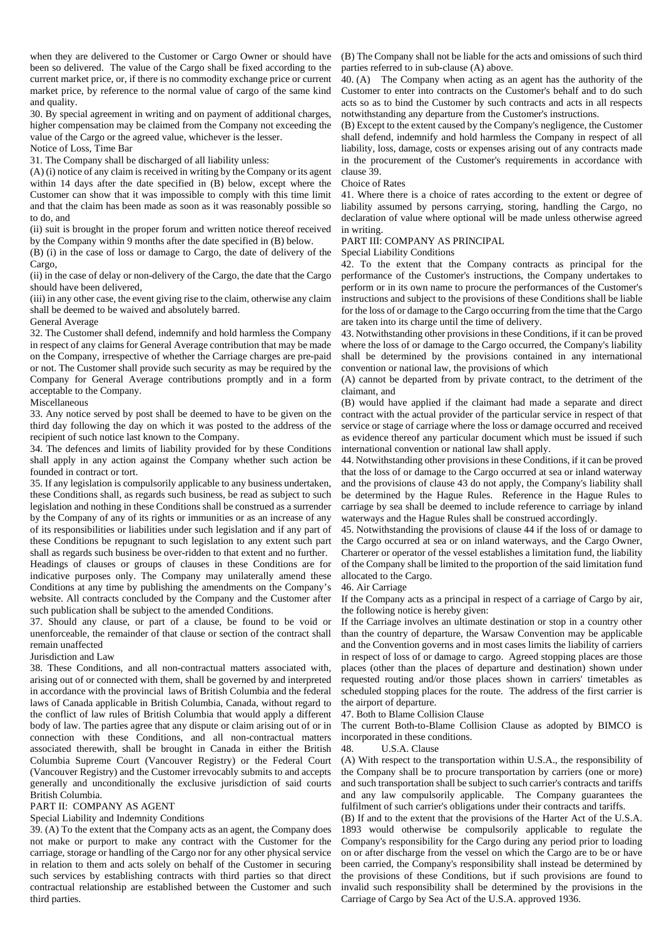when they are delivered to the Customer or Cargo Owner or should have been so delivered. The value of the Cargo shall be fixed according to the current market price, or, if there is no commodity exchange price or current market price, by reference to the normal value of cargo of the same kind and quality.

30. By special agreement in writing and on payment of additional charges, higher compensation may be claimed from the Company not exceeding the value of the Cargo or the agreed value, whichever is the lesser.

Notice of Loss, Time Bar 31. The Company shall be discharged of all liability unless:

(A) (i) notice of any claim is received in writing by the Company or its agent within 14 days after the date specified in (B) below, except where the Customer can show that it was impossible to comply with this time limit and that the claim has been made as soon as it was reasonably possible so to do, and

(ii) suit is brought in the proper forum and written notice thereof received by the Company within 9 months after the date specified in (B) below.

(B) (i) in the case of loss or damage to Cargo, the date of delivery of the Cargo,

(ii) in the case of delay or non-delivery of the Cargo, the date that the Cargo should have been delivered,

(iii) in any other case, the event giving rise to the claim, otherwise any claim shall be deemed to be waived and absolutely barred.

General Average

32. The Customer shall defend, indemnify and hold harmless the Company in respect of any claims for General Average contribution that may be made on the Company, irrespective of whether the Carriage charges are pre-paid or not. The Customer shall provide such security as may be required by the Company for General Average contributions promptly and in a form acceptable to the Company.

Miscellaneous

33. Any notice served by post shall be deemed to have to be given on the third day following the day on which it was posted to the address of the recipient of such notice last known to the Company.

34. The defences and limits of liability provided for by these Conditions shall apply in any action against the Company whether such action be founded in contract or tort.

35. If any legislation is compulsorily applicable to any business undertaken, these Conditions shall, as regards such business, be read as subject to such legislation and nothing in these Conditions shall be construed as a surrender by the Company of any of its rights or immunities or as an increase of any of its responsibilities or liabilities under such legislation and if any part of these Conditions be repugnant to such legislation to any extent such part shall as regards such business be over-ridden to that extent and no further.

Headings of clauses or groups of clauses in these Conditions are for indicative purposes only. The Company may unilaterally amend these Conditions at any time by publishing the amendments on the Company's website. All contracts concluded by the Company and the Customer after such publication shall be subject to the amended Conditions.

37. Should any clause, or part of a clause, be found to be void or unenforceable, the remainder of that clause or section of the contract shall remain unaffected

Jurisdiction and Law

38. These Conditions, and all non-contractual matters associated with, arising out of or connected with them, shall be governed by and interpreted in accordance with the provincial laws of British Columbia and the federal laws of Canada applicable in British Columbia, Canada, without regard to the conflict of law rules of British Columbia that would apply a different body of law. The parties agree that any dispute or claim arising out of or in connection with these Conditions, and all non-contractual matters associated therewith, shall be brought in Canada in either the British Columbia Supreme Court (Vancouver Registry) or the Federal Court (Vancouver Registry) and the Customer irrevocably submits to and accepts generally and unconditionally the exclusive jurisdiction of said courts British Columbia.

### PART II: COMPANY AS AGENT

### Special Liability and Indemnity Conditions

39. (A) To the extent that the Company acts as an agent, the Company does not make or purport to make any contract with the Customer for the carriage, storage or handling of the Cargo nor for any other physical service in relation to them and acts solely on behalf of the Customer in securing such services by establishing contracts with third parties so that direct contractual relationship are established between the Customer and such third parties.

(B) The Company shall not be liable for the acts and omissions of such third parties referred to in sub-clause (A) above.

40. (A) The Company when acting as an agent has the authority of the Customer to enter into contracts on the Customer's behalf and to do such acts so as to bind the Customer by such contracts and acts in all respects notwithstanding any departure from the Customer's instructions.

(B) Except to the extent caused by the Company's negligence, the Customer shall defend, indemnify and hold harmless the Company in respect of all liability, loss, damage, costs or expenses arising out of any contracts made in the procurement of the Customer's requirements in accordance with clause 39.

#### Choice of Rates

41. Where there is a choice of rates according to the extent or degree of liability assumed by persons carrying, storing, handling the Cargo, no declaration of value where optional will be made unless otherwise agreed in writing.

### PART III: COMPANY AS PRINCIPAL

Special Liability Conditions

42. To the extent that the Company contracts as principal for the performance of the Customer's instructions, the Company undertakes to perform or in its own name to procure the performances of the Customer's instructions and subject to the provisions of these Conditions shall be liable for the loss of or damage to the Cargo occurring from the time that the Cargo are taken into its charge until the time of delivery.

43. Notwithstanding other provisions in these Conditions, if it can be proved where the loss of or damage to the Cargo occurred, the Company's liability shall be determined by the provisions contained in any international convention or national law, the provisions of which

(A) cannot be departed from by private contract, to the detriment of the claimant, and

(B) would have applied if the claimant had made a separate and direct contract with the actual provider of the particular service in respect of that service or stage of carriage where the loss or damage occurred and received as evidence thereof any particular document which must be issued if such international convention or national law shall apply.

44. Notwithstanding other provisions in these Conditions, if it can be proved that the loss of or damage to the Cargo occurred at sea or inland waterway and the provisions of clause 43 do not apply, the Company's liability shall be determined by the Hague Rules. Reference in the Hague Rules to carriage by sea shall be deemed to include reference to carriage by inland waterways and the Hague Rules shall be construed accordingly.

45. Notwithstanding the provisions of clause 44 if the loss of or damage to the Cargo occurred at sea or on inland waterways, and the Cargo Owner, Charterer or operator of the vessel establishes a limitation fund, the liability of the Company shall be limited to the proportion of the said limitation fund allocated to the Cargo.

#### 46. Air Carriage

If the Company acts as a principal in respect of a carriage of Cargo by air, the following notice is hereby given:

If the Carriage involves an ultimate destination or stop in a country other than the country of departure, the Warsaw Convention may be applicable and the Convention governs and in most cases limits the liability of carriers in respect of loss of or damage to cargo. Agreed stopping places are those places (other than the places of departure and destination) shown under requested routing and/or those places shown in carriers' timetables as scheduled stopping places for the route. The address of the first carrier is the airport of departure.

47. Both to Blame Collision Clause

The current Both-to-Blame Collision Clause as adopted by BIMCO is incorporated in these conditions.

#### 48. U.S.A. Clause

(A) With respect to the transportation within U.S.A., the responsibility of the Company shall be to procure transportation by carriers (one or more) and such transportation shall be subject to such carrier's contracts and tariffs and any law compulsorily applicable. The Company guarantees the fulfilment of such carrier's obligations under their contracts and tariffs.

(B) If and to the extent that the provisions of the Harter Act of the U.S.A. 1893 would otherwise be compulsorily applicable to regulate the Company's responsibility for the Cargo during any period prior to loading on or after discharge from the vessel on which the Cargo are to be or have been carried, the Company's responsibility shall instead be determined by the provisions of these Conditions, but if such provisions are found to invalid such responsibility shall be determined by the provisions in the Carriage of Cargo by Sea Act of the U.S.A. approved 1936.